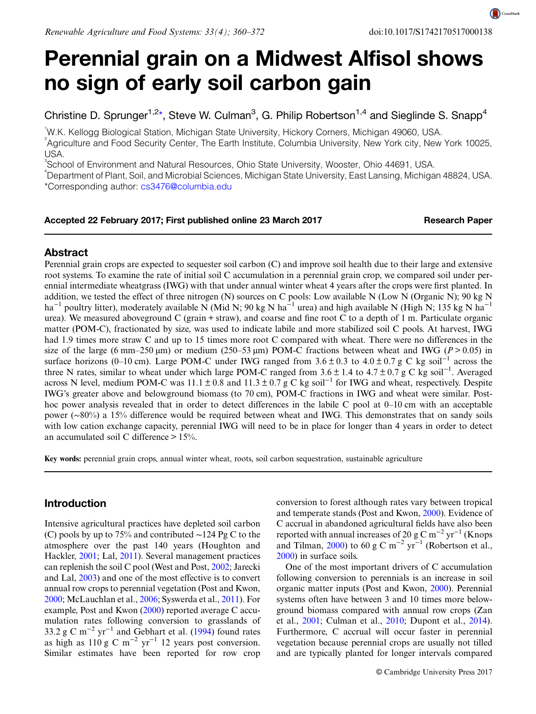CrossMark

# Perennial grain on a Midwest Alfisol shows no sign of early soil carbon gain

Christine D. Sprunger<sup>1,2\*</sup>, Steve W. Culman<sup>3</sup>, G. Philip Robertson<sup>1,4</sup> and Sieglinde S. Snapp<sup>4</sup>

1 W.K. Kellogg Biological Station, Michigan State University, Hickory Corners, Michigan 49060, USA. 2 Agriculture and Food Security Center, The Earth Institute, Columbia University, New York city, New York 10025, USA.

<sup>3</sup>School of Environment and Natural Resources, Ohio State University, Wooster, Ohio 44691, USA.

4 Department of Plant, Soil, and Microbial Sciences, Michigan State University, East Lansing, Michigan 48824, USA. \*Corresponding author: [cs3476@columbia.edu](mailto:cs3476@columbia.edu)

#### Accepted 22 February 2017; First published online 23 March 2017 Research Paper

# Abstract

Perennial grain crops are expected to sequester soil carbon (C) and improve soil health due to their large and extensive root systems. To examine the rate of initial soil C accumulation in a perennial grain crop, we compared soil under perennial intermediate wheatgrass (IWG) with that under annual winter wheat 4 years after the crops were first planted. In addition, we tested the effect of three nitrogen (N) sources on C pools: Low available N (Low N (Organic N); 90 kg N ha<sup>-1</sup> poultry litter), moderately available N (Mid N; 90 kg N ha<sup>-1</sup> urea) and high available N (High N; 135 kg N ha<sup>-1</sup> urea). We measured aboveground C (grain + straw), and coarse and fine root C to a depth of 1 m. Particulate organic matter (POM-C), fractionated by size, was used to indicate labile and more stabilized soil C pools. At harvest, IWG had 1.9 times more straw C and up to 15 times more root C compared with wheat. There were no differences in the size of the large (6 mm–250  $\mu$ m) or medium (250–53  $\mu$ m) POM-C fractions between wheat and IWG (P > 0.05) in surface horizons (0–10 cm). Large POM-C under IWG ranged from  $3.6 \pm 0.3$  to  $4.0 \pm 0.7$  g C kg soil<sup>-1</sup> across the three N rates, similar to wheat under which large POM-C ranged from 3.6 ± 1.4 to 4.7 ± 0.7 g C kg soil<sup>-1</sup>. Averaged across N level, medium POM-C was  $11.1 \pm 0.8$  and  $11.3 \pm 0.7$  g C kg soil<sup>-1</sup> for IWG and wheat, respectively. Despite IWG's greater above and belowground biomass (to 70 cm), POM-C fractions in IWG and wheat were similar. Posthoc power analysis revealed that in order to detect differences in the labile C pool at 0–10 cm with an acceptable power (∼80%) a 15% difference would be required between wheat and IWG. This demonstrates that on sandy soils with low cation exchange capacity, perennial IWG will need to be in place for longer than 4 years in order to detect an accumulated soil C difference  $> 15\%$ .

Key words: perennial grain crops, annual winter wheat, roots, soil carbon sequestration, sustainable agriculture

## Introduction

Intensive agricultural practices have depleted soil carbon (C) pools by up to 75% and contributed ∼124 Pg C to the atmosphere over the past 140 years (Houghton and Hackler, [2001;](#page-11-0) Lal, [2011](#page-12-0)). Several management practices can replenish the soil C pool (West and Post, [2002](#page-12-0); Jarecki and Lal, [2003\)](#page-11-0) and one of the most effective is to convert annual row crops to perennial vegetation (Post and Kwon, [2000](#page-12-0); McLauchlan et al., [2006](#page-12-0); Syswerda et al., [2011](#page-12-0)). For example, Post and Kwon [\(2000](#page-12-0)) reported average C accumulation rates following conversion to grasslands of 33.2 g C m<sup>-2</sup> yr<sup>-1</sup> and Gebhart et al. [\(1994](#page-11-0)) found rates as high as  $110 \text{ g C m}^{-2} \text{ yr}^{-1}$  12 years post conversion. Similar estimates have been reported for row crop conversion to forest although rates vary between tropical and temperate stands (Post and Kwon, [2000\)](#page-12-0). Evidence of C accrual in abandoned agricultural fields have also been reported with annual increases of 20 g C m<sup>-2</sup> yr<sup>-1</sup> (Knops and Tilman, [2000](#page-11-0)) to 60 g C m<sup>-2</sup> yr<sup>-1</sup> (Robertson et al., [2000](#page-12-0)) in surface soils.

One of the most important drivers of C accumulation following conversion to perennials is an increase in soil organic matter inputs (Post and Kwon, [2000](#page-12-0)). Perennial systems often have between 3 and 10 times more belowground biomass compared with annual row crops (Zan et al., [2001;](#page-12-0) Culman et al., [2010](#page-11-0); Dupont et al., [2014](#page-11-0)). Furthermore, C accrual will occur faster in perennial vegetation because perennial crops are usually not tilled and are typically planted for longer intervals compared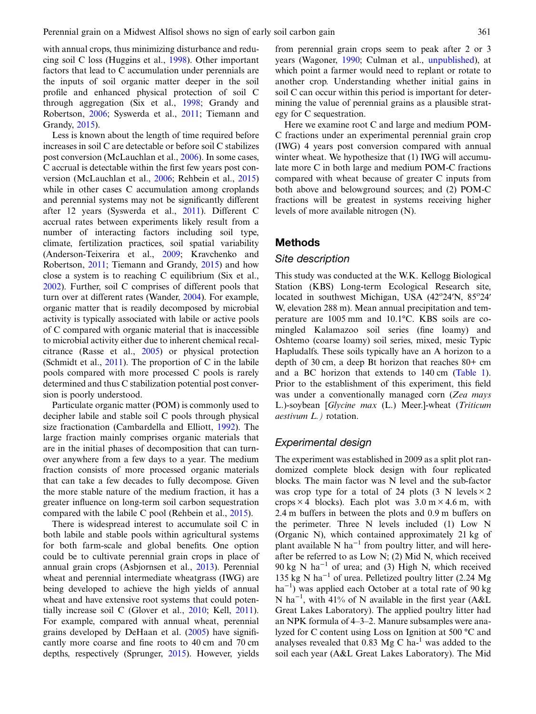with annual crops, thus minimizing disturbance and reducing soil C loss (Huggins et al., [1998\)](#page-11-0). Other important factors that lead to C accumulation under perennials are the inputs of soil organic matter deeper in the soil profile and enhanced physical protection of soil C through aggregation (Six et al., [1998;](#page-12-0) Grandy and Robertson, [2006](#page-11-0); Syswerda et al., [2011;](#page-12-0) Tiemann and Grandy, [2015](#page-12-0)).

Less is known about the length of time required before increases in soil C are detectable or before soil C stabilizes post conversion (McLauchlan et al., [2006\)](#page-12-0). In some cases, C accrual is detectable within the first few years post conversion (McLauchlan et al., [2006](#page-12-0); Rehbein et al., [2015\)](#page-12-0) while in other cases C accumulation among croplands and perennial systems may not be significantly different after 12 years (Syswerda et al., [2011](#page-12-0)). Different C accrual rates between experiments likely result from a number of interacting factors including soil type, climate, fertilization practices, soil spatial variability (Anderson-Teixerira et al., [2009;](#page-11-0) Kravchenko and Robertson, [2011;](#page-12-0) Tiemann and Grandy, [2015\)](#page-12-0) and how close a system is to reaching C equilibrium (Six et al., [2002\)](#page-12-0). Further, soil C comprises of different pools that turn over at different rates (Wander, [2004\)](#page-12-0). For example, organic matter that is readily decomposed by microbial activity is typically associated with labile or active pools of C compared with organic material that is inaccessible to microbial activity either due to inherent chemical recalcitrance (Rasse et al., [2005](#page-12-0)) or physical protection (Schmidt et al., [2011\)](#page-12-0). The proportion of C in the labile pools compared with more processed C pools is rarely determined and thus C stabilization potential post conversion is poorly understood.

Particulate organic matter (POM) is commonly used to decipher labile and stable soil C pools through physical size fractionation (Cambardella and Elliott, [1992](#page-11-0)). The large fraction mainly comprises organic materials that are in the initial phases of decomposition that can turnover anywhere from a few days to a year. The medium fraction consists of more processed organic materials that can take a few decades to fully decompose. Given the more stable nature of the medium fraction, it has a greater influence on long-term soil carbon sequestration compared with the labile C pool (Rehbein et al., [2015\)](#page-12-0).

There is widespread interest to accumulate soil C in both labile and stable pools within agricultural systems for both farm-scale and global benefits. One option could be to cultivate perennial grain crops in place of annual grain crops (Asbjornsen et al., [2013](#page-11-0)). Perennial wheat and perennial intermediate wheatgrass (IWG) are being developed to achieve the high yields of annual wheat and have extensive root systems that could potentially increase soil C (Glover et al., [2010;](#page-11-0) Kell, [2011\)](#page-11-0). For example, compared with annual wheat, perennial grains developed by DeHaan et al. [\(2005](#page-11-0)) have significantly more coarse and fine roots to 40 cm and 70 cm depths, respectively (Sprunger, [2015](#page-12-0)). However, yields

from perennial grain crops seem to peak after 2 or 3 years (Wagoner, [1990](#page-12-0); Culman et al., [unpublished](#page-11-0)), at which point a farmer would need to replant or rotate to another crop. Understanding whether initial gains in soil C can occur within this period is important for determining the value of perennial grains as a plausible strategy for C sequestration.

Here we examine root C and large and medium POM-C fractions under an experimental perennial grain crop (IWG) 4 years post conversion compared with annual winter wheat. We hypothesize that (1) IWG will accumulate more C in both large and medium POM-C fractions compared with wheat because of greater C inputs from both above and belowground sources; and (2) POM-C fractions will be greatest in systems receiving higher levels of more available nitrogen (N).

## Methods

#### Site description

This study was conducted at the W.K. Kellogg Biological Station (KBS) Long-term Ecological Research site, located in southwest Michigan, USA (42°24'N, 85°24' W, elevation 288 m). Mean annual precipitation and temperature are 1005 mm and 10.1°C. KBS soils are comingled Kalamazoo soil series (fine loamy) and Oshtemo (coarse loamy) soil series, mixed, mesic Typic Hapludalfs. These soils typically have an A horizon to a depth of 30 cm, a deep Bt horizon that reaches 80+ cm and a BC horizon that extends to 140 cm ([Table 1\)](#page-2-0). Prior to the establishment of this experiment, this field was under a conventionally managed corn (Zea mays L.)-soybean [Glycine max (L.) Meer.]-wheat (Triticum aestivum L.) rotation.

#### Experimental design

The experiment was established in 2009 as a split plot randomized complete block design with four replicated blocks. The main factor was N level and the sub-factor was crop type for a total of 24 plots  $(3 \text{ N levels} \times 2)$ crops  $\times$  4 blocks). Each plot was 3.0 m  $\times$  4.6 m, with 2.4 m buffers in between the plots and 0.9 m buffers on the perimeter. Three N levels included (1) Low N (Organic N), which contained approximately 21 kg of plant available N ha<sup> $-1$ </sup> from poultry litter, and will hereafter be referred to as Low N; (2) Mid N, which received 90 kg N ha<sup> $-1$ </sup> of urea; and (3) High N, which received 135 kg N ha−<sup>1</sup> of urea. Pelletized poultry litter (2.24 Mg ha<sup>-1</sup>) was applied each October at a total rate of 90 kg N ha<sup>-1</sup>, with 41% of N available in the first year (A&L Great Lakes Laboratory). The applied poultry litter had an NPK formula of 4–3–2. Manure subsamples were analyzed for C content using Loss on Ignition at 500 °C and analyses revealed that  $0.83 \text{ Mg C} \text{ ha}^{-1}$  was added to the soil each year (A&L Great Lakes Laboratory). The Mid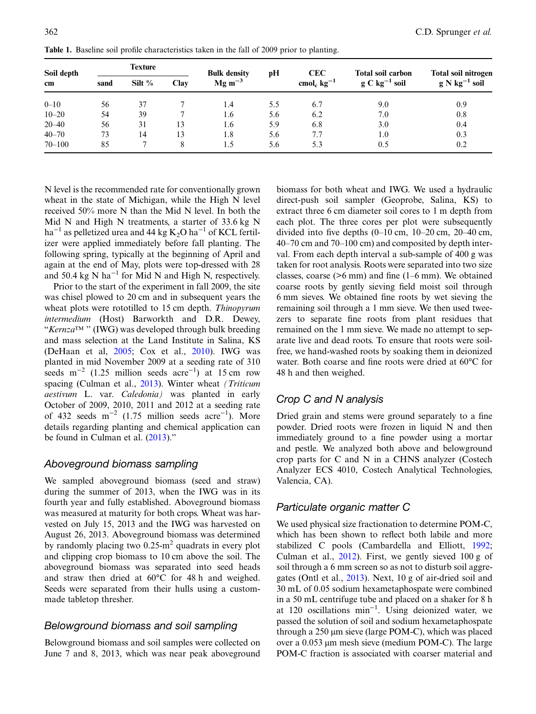| Soil depth<br>cm | <b>Texture</b> |          | <b>Bulk density</b> | pН          | <b>CEC</b> | <b>Total soil carbon</b>    | Total soil nitrogen |                    |
|------------------|----------------|----------|---------------------|-------------|------------|-----------------------------|---------------------|--------------------|
|                  | sand           | Silt $%$ | Clay                | $Mg m^{-3}$ |            | cmol <sub>c</sub> $kg^{-1}$ | $g C kg^{-1} sol$   | $g N kg^{-1}$ soil |
| $0 - 10$         | 56             | 37       |                     | 1.4         | 5.5        | 6.7                         | 9.0                 | 0.9                |
| $10 - 20$        | 54             | 39       |                     | 1.6         | 5.6        | 6.2                         | 7.0                 | 0.8                |
| $20 - 40$        | 56             | 31       | 13                  | 1.6         | 5.9        | 6.8                         | 3.0                 | 0.4                |
| $40 - 70$        | 73             | 14       | 13                  | 1.8         | 5.6        | 7.7                         | 1.0                 | 0.3                |
| $70 - 100$       | 85             |          | 8                   | 1.5         | 5.6        | 5.3                         | 0.5                 | 0.2                |

<span id="page-2-0"></span>Table 1. Baseline soil profile characteristics taken in the fall of 2009 prior to planting.

N level is the recommended rate for conventionally grown wheat in the state of Michigan, while the High N level received 50% more N than the Mid N level. In both the Mid N and High N treatments, a starter of 33.6 kg N ha<sup>-1</sup> as pelletized urea and 44 kg K<sub>2</sub>O ha<sup>-1</sup> of KCL fertilizer were applied immediately before fall planting. The following spring, typically at the beginning of April and again at the end of May, plots were top-dressed with 28 and 50.4 kg N ha<sup> $-1$ </sup> for Mid N and High N, respectively.

Prior to the start of the experiment in fall 2009, the site was chisel plowed to 20 cm and in subsequent years the wheat plots were rototilled to 15 cm depth. Thinopyrum intermedium (Host) Barworkth and D.R. Dewey, "Kernza™ '' (IWG) was developed through bulk breeding and mass selection at the Land Institute in Salina, KS (DeHaan et al, [2005](#page-11-0); Cox et al., [2010](#page-11-0)). IWG was planted in mid November 2009 at a seeding rate of 310 seeds m<sup>-2</sup> (1.25 million seeds acre<sup>-1</sup>) at 15 cm row spacing (Culman et al., [2013\)](#page-11-0). Winter wheat (Triticum aestivum L. var. Caledonia) was planted in early October of 2009, 2010, 2011 and 2012 at a seeding rate of 432 seeds  $m^{-2}$  (1.75 million seeds acre<sup>-1</sup>). More details regarding planting and chemical application can be found in Culman et al. [\(2013](#page-11-0))."

## Aboveground biomass sampling

We sampled aboveground biomass (seed and straw) during the summer of 2013, when the IWG was in its fourth year and fully established. Aboveground biomass was measured at maturity for both crops. Wheat was harvested on July 15, 2013 and the IWG was harvested on August 26, 2013. Aboveground biomass was determined by randomly placing two  $0.25 \text{ m}^2$  quadrats in every plot and clipping crop biomass to 10 cm above the soil. The aboveground biomass was separated into seed heads and straw then dried at 60°C for 48 h and weighed. Seeds were separated from their hulls using a custommade tabletop thresher.

## Belowground biomass and soil sampling

Belowground biomass and soil samples were collected on June 7 and 8, 2013, which was near peak aboveground biomass for both wheat and IWG. We used a hydraulic direct-push soil sampler (Geoprobe, Salina, KS) to extract three 6 cm diameter soil cores to 1 m depth from each plot. The three cores per plot were subsequently divided into five depths (0–10 cm, 10–20 cm, 20–40 cm, 40–70 cm and 70–100 cm) and composited by depth interval. From each depth interval a sub-sample of 400 g was taken for root analysis. Roots were separated into two size classes, coarse (>6 mm) and fine (1–6 mm). We obtained coarse roots by gently sieving field moist soil through 6 mm sieves. We obtained fine roots by wet sieving the remaining soil through a 1 mm sieve. We then used tweezers to separate fine roots from plant residues that remained on the 1 mm sieve. We made no attempt to separate live and dead roots. To ensure that roots were soilfree, we hand-washed roots by soaking them in deionized water. Both coarse and fine roots were dried at 60°C for 48 h and then weighed.

## Crop C and N analysis

Dried grain and stems were ground separately to a fine powder. Dried roots were frozen in liquid N and then immediately ground to a fine powder using a mortar and pestle. We analyzed both above and belowground crop parts for C and N in a CHNS analyzer (Costech Analyzer ECS 4010, Costech Analytical Technologies, Valencia, CA).

## Particulate organic matter C

We used physical size fractionation to determine POM-C, which has been shown to reflect both labile and more stabilized C pools (Cambardella and Elliott, [1992;](#page-11-0) Culman et al., [2012](#page-11-0)). First, we gently sieved 100 g of soil through a 6 mm screen so as not to disturb soil aggregates (Ontl et al., [2013](#page-12-0)). Next, 10 g of air-dried soil and 30 mL of 0.05 sodium hexametaphospate were combined in a 50 mL centrifuge tube and placed on a shaker for 8 h at 120 oscillations min−<sup>1</sup> . Using deionized water, we passed the solution of soil and sodium hexametaphospate through a 250 µm sieve (large POM-C), which was placed over a 0.053 µm mesh sieve (medium POM-C). The large POM-C fraction is associated with coarser material and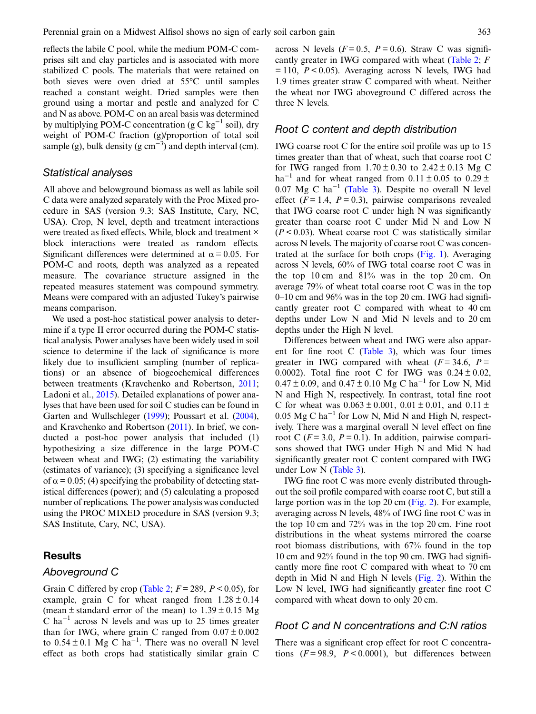reflects the labile C pool, while the medium POM-C comprises silt and clay particles and is associated with more stabilized C pools. The materials that were retained on both sieves were oven dried at 55°C until samples reached a constant weight. Dried samples were then ground using a mortar and pestle and analyzed for C and N as above. POM-C on an areal basis was determined by multiplying POM-C concentration (g C kg<sup>-1</sup> soil), dry weight of POM-C fraction (g)/proportion of total soil sample (g), bulk density (g  $cm^{-3}$ ) and depth interval (cm).

#### Statistical analyses

All above and belowground biomass as well as labile soil C data were analyzed separately with the Proc Mixed procedure in SAS (version 9.3; SAS Institute, Cary, NC, USA). Crop, N level, depth and treatment interactions were treated as fixed effects. While, block and treatment  $\times$ block interactions were treated as random effects. Significant differences were determined at  $\alpha = 0.05$ . For POM-C and roots, depth was analyzed as a repeated measure. The covariance structure assigned in the repeated measures statement was compound symmetry. Means were compared with an adjusted Tukey's pairwise means comparison.

We used a post-hoc statistical power analysis to determine if a type II error occurred during the POM-C statistical analysis. Power analyses have been widely used in soil science to determine if the lack of significance is more likely due to insufficient sampling (number of replications) or an absence of biogeochemical differences between treatments (Kravchenko and Robertson, [2011](#page-12-0); Ladoni et al., [2015\)](#page-12-0). Detailed explanations of power analyses that have been used for soil C studies can be found in Garten and Wullschleger ([1999\)](#page-11-0); Poussart et al. ([2004\)](#page-12-0), and Kravchenko and Robertson [\(2011](#page-12-0)). In brief, we conducted a post-hoc power analysis that included (1) hypothesizing a size difference in the large POM-C between wheat and IWG; (2) estimating the variability (estimates of variance); (3) specifying a significance level of  $\alpha$  = 0.05; (4) specifying the probability of detecting statistical differences (power); and (5) calculating a proposed number of replications. The power analysis was conducted using the PROC MIXED procedure in SAS (version 9.3; SAS Institute, Cary, NC, USA).

## **Results**

## Aboveground C

Grain C differed by crop ([Table 2](#page-4-0);  $F = 289$ ,  $P < 0.05$ ), for example, grain C for wheat ranged from  $1.28 \pm 0.14$ (mean  $\pm$  standard error of the mean) to  $1.39 \pm 0.15$  Mg C ha<sup> $-1$ </sup> across N levels and was up to 25 times greater than for IWG, where grain C ranged from  $0.07 \pm 0.002$ to  $0.54 \pm 0.1$  Mg C ha<sup>-1</sup>. There was no overall N level effect as both crops had statistically similar grain C across N levels ( $F = 0.5$ ,  $P = 0.6$ ). Straw C was significantly greater in IWG compared with wheat ([Table 2;](#page-4-0) F  $= 110$ ,  $P < 0.05$ ). Averaging across N levels, IWG had 1.9 times greater straw C compared with wheat. Neither the wheat nor IWG aboveground C differed across the three N levels.

#### Root C content and depth distribution

IWG coarse root C for the entire soil profile was up to 15 times greater than that of wheat, such that coarse root C for IWG ranged from  $1.70 \pm 0.30$  to  $2.42 \pm 0.13$  Mg C ha<sup>-1</sup> and for wheat ranged from  $0.11 \pm 0.05$  to  $0.29 \pm$ 0.07 Mg C ha−<sup>1</sup> [\(Table 3\)](#page-4-0). Despite no overall N level effect ( $F = 1.4$ ,  $P = 0.3$ ), pairwise comparisons revealed that IWG coarse root C under high N was significantly greater than coarse root C under Mid N and Low N  $(P < 0.03)$ . Wheat coarse root C was statistically similar across N levels. The majority of coarse root C was concentrated at the surface for both crops [\(Fig. 1](#page-4-0)). Averaging across N levels, 60% of IWG total coarse root C was in the top 10 cm and 81% was in the top 20 cm. On average 79% of wheat total coarse root C was in the top  $0-10$  cm and  $96\%$  was in the top 20 cm. IWG had significantly greater root C compared with wheat to 40 cm depths under Low N and Mid N levels and to 20 cm depths under the High N level.

Differences between wheat and IWG were also apparent for fine root  $C$  ([Table 3](#page-4-0)), which was four times greater in IWG compared with wheat  $(F = 34.6, P =$ 0.0002). Total fine root C for IWG was  $0.24 \pm 0.02$ ,  $0.47 \pm 0.09$ , and  $0.47 \pm 0.10$  Mg C ha<sup>-1</sup> for Low N, Mid N and High N, respectively. In contrast, total fine root C for wheat was  $0.063 \pm 0.001$ ,  $0.01 \pm 0.01$ , and  $0.11 \pm$ 0.05 Mg C ha<sup> $-1$ </sup> for Low N, Mid N and High N, respectively. There was a marginal overall N level effect on fine root C ( $F = 3.0$ ,  $P = 0.1$ ). In addition, pairwise comparisons showed that IWG under High N and Mid N had significantly greater root C content compared with IWG under Low N ([Table 3\)](#page-4-0).

IWG fine root C was more evenly distributed throughout the soil profile compared with coarse root C, but still a large portion was in the top 20 cm [\(Fig. 2](#page-5-0)). For example, averaging across N levels, 48% of IWG fine root C was in the top 10 cm and 72% was in the top 20 cm. Fine root distributions in the wheat systems mirrored the coarse root biomass distributions, with 67% found in the top 10 cm and 92% found in the top 90 cm. IWG had significantly more fine root C compared with wheat to 70 cm depth in Mid N and High N levels ([Fig. 2](#page-5-0)). Within the Low N level, IWG had significantly greater fine root C compared with wheat down to only 20 cm.

#### Root C and N concentrations and C:N ratios

There was a significant crop effect for root C concentrations  $(F = 98.9, P < 0.0001)$ , but differences between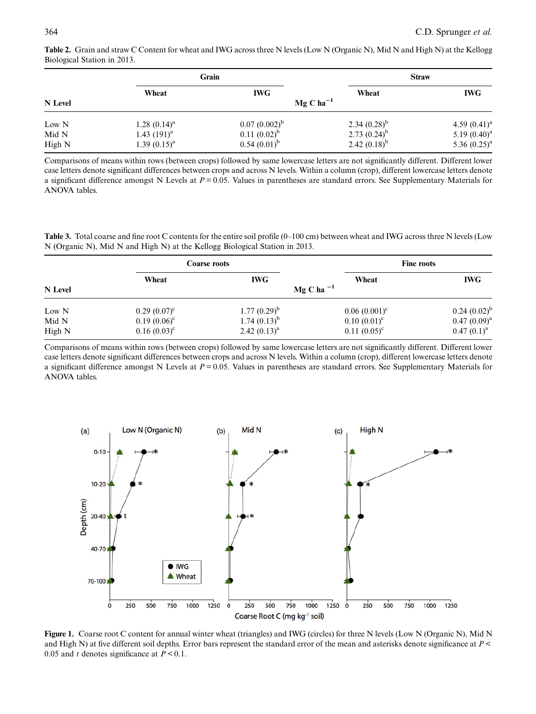|                 |                                      | Grain                                 |                                        | <b>Straw</b>                         |  |
|-----------------|--------------------------------------|---------------------------------------|----------------------------------------|--------------------------------------|--|
| N Level         | Wheat                                | <b>IWG</b><br>$Mg$ C ha <sup>-1</sup> | Wheat                                  | <b>IWG</b>                           |  |
| Low N           | $1.28(0.14)^a$                       | $0.07(0.002)^{b}$                     | 2.34 $(0.28)^{b}$                      | 4.59 $(0.41)^{a}$                    |  |
| Mid N<br>High N | 1.43 $(191)^{a}$<br>$1.39(0.15)^{a}$ | $0.11 (0.02)^{b}$<br>$0.54(0.01)^{b}$ | 2.73 $(0.24)^{b}$<br>2.42 $(0.18)^{b}$ | 5.19 $(0.40)^a$<br>5.36 $(0.25)^{a}$ |  |

<span id="page-4-0"></span>Table 2. Grain and straw C Content for wheat and IWG across three N levels (Low N (Organic N), Mid N and High N) at the Kellogg Biological Station in 2013.

Comparisons of means within rows (between crops) followed by same lowercase letters are not significantly different. Different lower case letters denote significant differences between crops and across N levels. Within a column (crop), different lowercase letters denote a significant difference amongst N Levels at  $P = 0.05$ . Values in parentheses are standard errors. See Supplementary Materials for ANOVA tables.

Table 3. Total coarse and fine root C contents for the entire soil profile (0–100 cm) between wheat and IWG across three N levels (Low N (Organic N), Mid N and High N) at the Kellogg Biological Station in 2013.

|         |                 | Coarse roots     |                 | <b>Fine roots</b> |  |  |  |
|---------|-----------------|------------------|-----------------|-------------------|--|--|--|
|         | Wheat           | <b>IWG</b>       | Wheat           | <b>IWG</b>        |  |  |  |
| N Level | Mg C ha $^{-1}$ |                  |                 |                   |  |  |  |
| Low N   | $0.29(0.07)^c$  | $1.77(0.29)^{b}$ | $0.06(0.001)^c$ | $0.24~(0.02)^{b}$ |  |  |  |
| Mid N   | $0.19(0.06)^c$  | $1.74(0.13)^{b}$ | $0.10~(0.01)^c$ | $0.47(0.09)^a$    |  |  |  |
| High N  | $0.16(0.03)^c$  | 2.42 $(0.13)^a$  | $0.11 (0.05)^c$ | $0.47(0.1)^a$     |  |  |  |

Comparisons of means within rows (between crops) followed by same lowercase letters are not significantly different. Different lower case letters denote significant differences between crops and across N levels. Within a column (crop), different lowercase letters denote a significant difference amongst N Levels at  $P = 0.05$ . Values in parentheses are standard errors. See Supplementary Materials for ANOVA tables.



Figure 1. Coarse root C content for annual winter wheat (triangles) and IWG (circles) for three N levels (Low N (Organic N), Mid N and High N) at five different soil depths. Error bars represent the standard error of the mean and asterisks denote significance at P < 0.05 and t denotes significance at  $P < 0.1$ .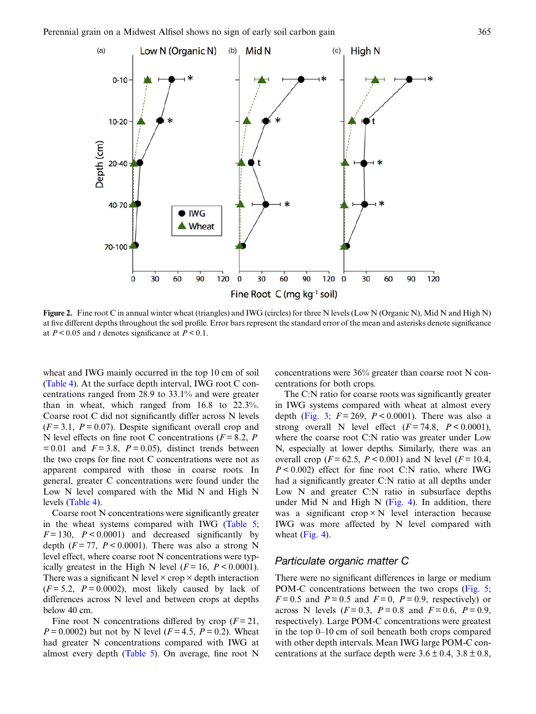<span id="page-5-0"></span>

Figure 2. Fine root C in annual winter wheat (triangles) and IWG (circles) for three N levels (Low N (Organic N), Mid N and High N) at five different depths throughout the soil profile. Error bars represent the standard error of the mean and asterisks denote significance at  $P < 0.05$  and t denotes significance at  $P < 0.1$ .

wheat and IWG mainly occurred in the top 10 cm of soil [\(Table 4\)](#page-6-0). At the surface depth interval, IWG root C concentrations ranged from 28.9 to 33.1% and were greater than in wheat, which ranged from 16.8 to 22.3%. Coarse root C did not significantly differ across N levels  $(F = 3.1, P = 0.07)$ . Despite significant overall crop and N level effects on fine root C concentrations ( $F = 8.2$ , P  $= 0.01$  and  $F = 3.8$ ,  $P = 0.05$ ), distinct trends between the two crops for fine root C concentrations were not as apparent compared with those in coarse roots. In general, greater C concentrations were found under the Low N level compared with the Mid N and High N levels ([Table 4\)](#page-6-0).

Coarse root N concentrations were significantly greater in the wheat systems compared with IWG [\(Table 5](#page-6-0);  $F = 130$ ,  $P < 0.0001$ ) and decreased significantly by depth ( $F = 77$ ,  $P < 0.0001$ ). There was also a strong N level effect, where coarse root N concentrations were typically greatest in the High N level  $(F = 16, P < 0.0001)$ . There was a significant N level  $\times$  crop  $\times$  depth interaction  $(F = 5.2, P = 0.0002)$ , most likely caused by lack of differences across N level and between crops at depths below 40 cm.

Fine root N concentrations differed by crop  $(F = 21)$ ,  $P = 0.0002$ ) but not by N level ( $F = 4.5$ ,  $P = 0.2$ ). Wheat had greater N concentrations compared with IWG at almost every depth [\(Table 5\)](#page-6-0). On average, fine root N

concentrations were 36% greater than coarse root N concentrations for both crops.

The C:N ratio for coarse roots was significantly greater in IWG systems compared with wheat at almost every depth [\(Fig. 3](#page-7-0);  $F = 269$ ,  $P < 0.0001$ ). There was also a strong overall N level effect  $(F = 74.8, P < 0.0001)$ , where the coarse root C:N ratio was greater under Low N, especially at lower depths. Similarly, there was an overall crop ( $F = 62.5$ ,  $P < 0.001$ ) and N level ( $F = 10.4$ ,  $P < 0.002$ ) effect for fine root C:N ratio, where IWG had a significantly greater C:N ratio at all depths under Low N and greater C:N ratio in subsurface depths under Mid N and High N ([Fig. 4](#page-7-0)). In addition, there was a significant crop  $\times$  N level interaction because IWG was more affected by N level compared with wheat ([Fig. 4](#page-7-0)).

#### Particulate organic matter C

There were no significant differences in large or medium POM-C concentrations between the two crops ([Fig. 5](#page-8-0);  $F = 0.5$  and  $P = 0.5$  and  $F = 0$ ,  $P = 0.9$ , respectively) or across N levels ( $F = 0.3$ ,  $P = 0.8$  and  $F = 0.6$ ,  $P = 0.9$ , respectively). Large POM-C concentrations were greatest in the top 0–10 cm of soil beneath both crops compared with other depth intervals. Mean IWG large POM-C concentrations at the surface depth were  $3.6 \pm 0.4$ ,  $3.8 \pm 0.8$ ,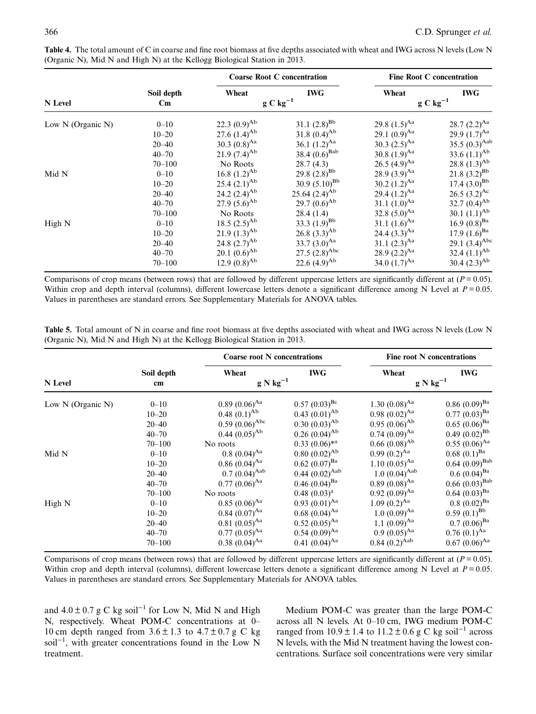|                   |                                      | <b>Coarse Root C concentration</b> |                             | <b>Fine Root C concentration</b> |                             |  |
|-------------------|--------------------------------------|------------------------------------|-----------------------------|----------------------------------|-----------------------------|--|
| N Level           | Soil depth<br>$\mathbf{C}\mathbf{m}$ | Wheat                              | <b>IWG</b><br>$g C kg^{-1}$ | Wheat                            | <b>IWG</b><br>$g C kg^{-1}$ |  |
| Low N (Organic N) | $0 - 10$                             | 22.3 $(0.9)^{Ab}$                  | 31.1 $(2.8)^{Bb}$           | 29.8 $(1.5)^{Aa}$                | 28.7 $(2.2)^{Aa}$           |  |
|                   | $10 - 20$                            | 27.6 $(1.4)^{Ab}$                  | 31.8 $(0.4)^{Ab}$           | 29.1 $(0.9)^{Aa}$                | 29.9 $(1.7)^{Aa}$           |  |
|                   | $20 - 40$                            | 30.3 $(0.8)^{Aa}$                  | 36.1 $(1.2)^{Aa}$           | 30.3 $(2.5)^{Aa}$                | 35.5 $(0.3)^{\text{Aab}}$   |  |
|                   | $40 - 70$                            | 21.9 $(7.4)^{Ab}$                  | 38.4 $(0.6)^{\text{Bab}}$   | 30.8 $(1.9)^{Aa}$                | 33.6 $(1.1)^{Ab}$           |  |
|                   | $70 - 100$                           | No Roots                           | 28.7(4.3)                   | 26.5 $(4.9)^{Aa}$                | 28.8 $(1.3)^{Ab}$           |  |
| Mid N             | $0 - 10$                             | 16.8 $(1.2)^{Ab}$                  | 29.8 $(2.8)^{Bb}$           | 28.9 $(3.9)^{Aa}$                | 21.8 $(3.2)^{Bb}$           |  |
|                   | $10 - 20$                            | 25.4 $(2.1)^{Ab}$                  | 30.9 $(5.10)^{Bb}$          | 30.2 $(1.2)^{Aa}$                | $17.4(3.0)^{Bb}$            |  |
|                   | $20 - 40$                            | 24.2 $(2.4)^{Ab}$                  | 25.64 $(2.4)^{Ab}$          | 29.4 $(1.2)^{Aa}$                | 26.5 $(3.2)^{Ac}$           |  |
|                   | $40 - 70$                            | 27.9 $(5.6)^{Ab}$                  | 29.7 $(0.6)^{Ab}$           | 31.1 $(1.0)^{Aa}$                | 32.7 $(0.4)^{Ab}$           |  |
|                   | $70 - 100$                           | No Roots                           | 28.4(1.4)                   | 32.8 $(5.0)^{Aa}$                | 30.1 $(1.1)^{Ab}$           |  |
| High N            | $0 - 10$                             | 18.5 $(2.5)^{Ab}$                  | 33.3 $(1.9)^{Bb}$           | 31.1 $(1.6)^{Aa}$                | 16.9 $(0.8)^{Ba}$           |  |
|                   | $10 - 20$                            | 21.9 $(1.3)^{Ab}$                  | 26.8 $(3.3)^{Ab}$           | 24.4 $(3.3)^{Aa}$                | $17.9(1.6)^{Ba}$            |  |
|                   | $20 - 40$                            | 24.8 $(2.7)^{Ab}$                  | 33.7 $(3.0)^{Aa}$           | 31.1 $(2.3)^{Aa}$                | 29.1 $(3.4)^{\text{Abc}}$   |  |
|                   | $40 - 70$                            | 20.1 $(0.6)^{Ab}$                  | 27.5 $(2.8)^{\text{Abc}}$   | 28.9 $(2.2)^{Aa}$                | 32.4 $(1.1)^{Ab}$           |  |
|                   | $70 - 100$                           | 12.9 $(0.8)^{Ab}$                  | 22.6 $(4.9)^{Ab}$           | 34.0 $(1.7)^{Aa}$                | 30.4 $(2.3)^{Ab}$           |  |

<span id="page-6-0"></span>Table 4. The total amount of C in coarse and fine root biomass at five depths associated with wheat and IWG across N levels (Low N (Organic N), Mid N and High N) at the Kellogg Biological Station in 2013.

Comparisons of crop means (between rows) that are followed by different uppercase letters are significantly different at ( $P = 0.05$ ). Within crop and depth interval (columns), different lowercase letters denote a significant difference among N Level at  $P = 0.05$ . Values in parentheses are standard errors. See Supplementary Materials for ANOVA tables.

| Table 5. Total amount of N in coarse and fine root biomass at five depths associated with wheat and IWG across N levels (Low N |  |  |
|--------------------------------------------------------------------------------------------------------------------------------|--|--|
| (Organic N), Mid N and High N) at the Kellogg Biological Station in 2013.                                                      |  |  |

|                   |            | <b>Coarse root N</b> concentrations |                     | <b>Fine root N</b> concentrations |                     |  |
|-------------------|------------|-------------------------------------|---------------------|-----------------------------------|---------------------|--|
|                   | Soil depth | Wheat                               | <b>IWG</b>          | Wheat                             | <b>IWG</b>          |  |
| N Level           | cm         | $g N kg^{-1}$                       |                     | $g N kg^{-1}$                     |                     |  |
| Low N (Organic N) | $0 - 10$   | $0.89(0.06)^{Aa}$                   | $0.57 (0.03)^{Bc}$  | 1.30 $(0.08)^{Aa}$                | $0.86(0.09)^{Ba}$   |  |
|                   | $10 - 20$  | $0.48(0.1)^{Ab}$                    | $0.43(0.01)^{Ab}$   | $0.98~(0.02)^{Aa}$                | $0.77(0.03)^{Ba}$   |  |
|                   | $20 - 40$  | $0.59~(0.06)^{\text{Abc}}$          | $0.30~(0.03)^{Ab}$  | $0.95(0.06)^{Ab}$                 | $0.65~(0.06)^{Ba}$  |  |
|                   | $40 - 70$  | $0.44~(0.05)^{Ab}$                  | $0.26 (0.04)^{Ab}$  | $0.74~(0.09)^{Aa}$                | $0.49(0.02)^{Bb}$   |  |
|                   | $70 - 100$ | No roots                            | $0.33(0.06)*^a$     | $0.66(0.08)^{Ab}$                 | $0.55(0.06)^{Aa}$   |  |
| Mid N             | $0 - 10$   | $0.8~(0.04)^{Aa}$                   | $0.80~(0.02)^{Ab}$  | $0.99 (0.2)^{Aa}$                 | $0.68~(0.1)^{Ba}$   |  |
|                   | $10 - 20$  | $0.86 (0.04)^{Aa}$                  | $0.62~(0.07)^{Ba}$  | $1.10 (0.05)^{Aa}$                | $0.64~(0.09)^{Bab}$ |  |
|                   | $20 - 40$  | $0.7 (0.04)^{Aab}$                  | $0.44~(0.02)^{Aab}$ | $1.0~(0.04)^{Aab}$                | $0.6~(0.04)^{Ba}$   |  |
|                   | $40 - 70$  | $0.77(0.06)^{Aa}$                   | $0.46~(0.04)^{Ba}$  | $0.89(0.08)^{Aa}$                 | $0.66~(0.03)^{Bab}$ |  |
|                   | $70 - 100$ | No roots                            | $0.48~(0.03)^a$     | $0.92 (0.09)^{Aa}$                | $0.64~(0.03)^{Ba}$  |  |
| High N            | $0 - 10$   | $0.85(0.06)^{Aa}$                   | $0.93 (0.01)^{Aa}$  | $1.09 (0.2)^{Aa}$                 | $0.8~(0.02)^{Ba}$   |  |
|                   | $10 - 20$  | $0.84~(0.07)^{Aa}$                  | $0.68~(0.04)^{Aa}$  | $1.0~(0.09)^{Aa}$                 | $0.59(0.1)^{Bb}$    |  |
|                   | $20 - 40$  | $0.81~(0.05)^{Aa}$                  | $0.52 (0.05)^{Aa}$  | 1.1 $(0.09)^{Aa}$                 | $0.7(0.06)^{Ba}$    |  |
|                   | $40 - 70$  | $0.77(0.05)^{Aa}$                   | $0.54~(0.09)^{Aa}$  | $0.9~(0.05)^{Aa}$                 | $0.76 (0.1)^{Aa}$   |  |
|                   | $70 - 100$ | $0.38 (0.04)^{Aa}$                  | $0.41~(0.04)^{Aa}$  | $0.84~(0.2)^{Aab}$                | $0.67~(0.06)^{Aa}$  |  |

Comparisons of crop means (between rows) that are followed by different uppercase letters are significantly different at ( $P = 0.05$ ). Within crop and depth interval (columns), different lowercase letters denote a significant difference among N Level at  $P = 0.05$ . Values in parentheses are standard errors. See Supplementary Materials for ANOVA tables.

and  $4.0 \pm 0.7$  g C kg soil<sup>-1</sup> for Low N, Mid N and High N, respectively. Wheat POM-C concentrations at 0– 10 cm depth ranged from  $3.6 \pm 1.3$  to  $4.7 \pm 0.7$  g C kg soil<sup>-1</sup>, with greater concentrations found in the Low N treatment.

Medium POM-C was greater than the large POM-C across all N levels. At 0–10 cm, IWG medium POM-C ranged from  $10.9 \pm 1.4$  to  $11.2 \pm 0.6$  g C kg soil<sup>-1</sup> across N levels, with the Mid N treatment having the lowest concentrations. Surface soil concentrations were very similar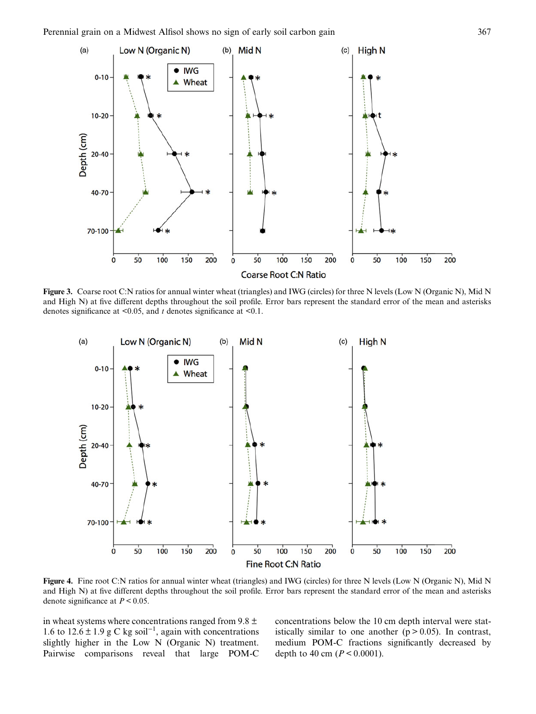<span id="page-7-0"></span>

Figure 3. Coarse root C:N ratios for annual winter wheat (triangles) and IWG (circles) for three N levels (Low N (Organic N), Mid N and High N) at five different depths throughout the soil profile. Error bars represent the standard error of the mean and asterisks denotes significance at  $\leq 0.05$ , and t denotes significance at  $\leq 0.1$ .



Figure 4. Fine root C:N ratios for annual winter wheat (triangles) and IWG (circles) for three N levels (Low N (Organic N), Mid N and High N) at five different depths throughout the soil profile. Error bars represent the standard error of the mean and asterisks denote significance at  $P < 0.05$ .

in wheat systems where concentrations ranged from 9.8  $\pm$ 1.6 to 12.6 ± 1.9 g C kg soil<sup>-1</sup>, again with concentrations slightly higher in the Low N (Organic N) treatment. Pairwise comparisons reveal that large POM-C concentrations below the 10 cm depth interval were statistically similar to one another  $(p > 0.05)$ . In contrast, medium POM-C fractions significantly decreased by depth to 40 cm ( $P < 0.0001$ ).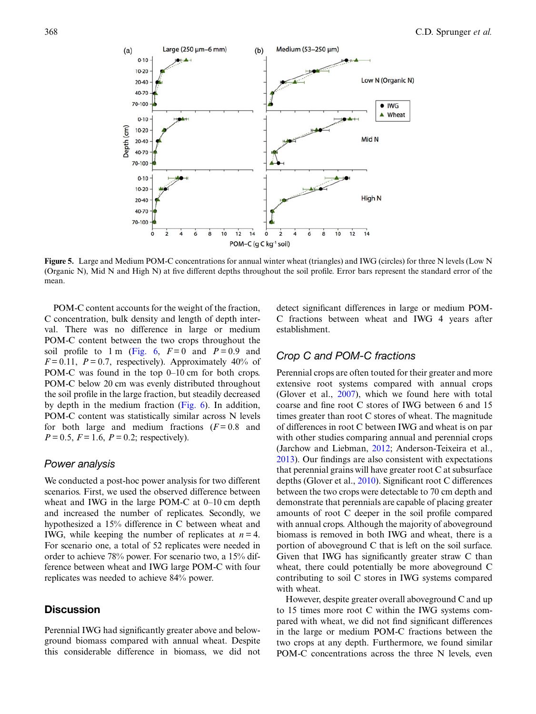<span id="page-8-0"></span>

Figure 5. Large and Medium POM-C concentrations for annual winter wheat (triangles) and IWG (circles) for three N levels (Low N (Organic N), Mid N and High N) at five different depths throughout the soil profile. Error bars represent the standard error of the mean.

POM-C content accounts for the weight of the fraction, C concentration, bulk density and length of depth interval. There was no difference in large or medium POM-C content between the two crops throughout the soil profile to 1 m [\(Fig. 6](#page-9-0),  $F=0$  and  $P=0.9$  and  $F = 0.11$ ,  $P = 0.7$ , respectively). Approximately 40% of POM-C was found in the top 0–10 cm for both crops. POM-C below 20 cm was evenly distributed throughout the soil profile in the large fraction, but steadily decreased by depth in the medium fraction [\(Fig. 6\)](#page-9-0). In addition, POM-C content was statistically similar across N levels for both large and medium fractions  $(F=0.8$  and  $P = 0.5$ ,  $F = 1.6$ ,  $P = 0.2$ ; respectively).

#### Power analysis

We conducted a post-hoc power analysis for two different scenarios. First, we used the observed difference between wheat and IWG in the large POM-C at 0–10 cm depth and increased the number of replicates. Secondly, we hypothesized a 15% difference in C between wheat and IWG, while keeping the number of replicates at  $n = 4$ . For scenario one, a total of 52 replicates were needed in order to achieve 78% power. For scenario two, a 15% difference between wheat and IWG large POM-C with four replicates was needed to achieve 84% power.

## **Discussion**

Perennial IWG had significantly greater above and belowground biomass compared with annual wheat. Despite this considerable difference in biomass, we did not detect significant differences in large or medium POM-C fractions between wheat and IWG 4 years after establishment.

#### Crop C and POM-C fractions

Perennial crops are often touted for their greater and more extensive root systems compared with annual crops (Glover et al., [2007](#page-11-0)), which we found here with total coarse and fine root C stores of IWG between 6 and 15 times greater than root C stores of wheat. The magnitude of differences in root C between IWG and wheat is on par with other studies comparing annual and perennial crops (Jarchow and Liebman, [2012;](#page-11-0) Anderson-Teixeira et al., [2013](#page-11-0)). Our findings are also consistent with expectations that perennial grains will have greater root C at subsurface depths (Glover et al., [2010\)](#page-11-0). Significant root C differences between the two crops were detectable to 70 cm depth and demonstrate that perennials are capable of placing greater amounts of root C deeper in the soil profile compared with annual crops. Although the majority of aboveground biomass is removed in both IWG and wheat, there is a portion of aboveground C that is left on the soil surface. Given that IWG has significantly greater straw C than wheat, there could potentially be more aboveground C contributing to soil C stores in IWG systems compared with wheat.

However, despite greater overall aboveground C and up to 15 times more root C within the IWG systems compared with wheat, we did not find significant differences in the large or medium POM-C fractions between the two crops at any depth. Furthermore, we found similar POM-C concentrations across the three N levels, even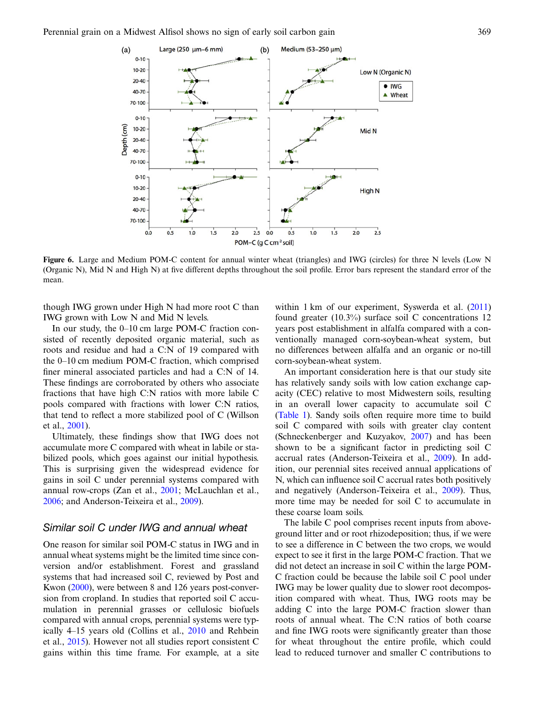<span id="page-9-0"></span>

Figure 6. Large and Medium POM-C content for annual winter wheat (triangles) and IWG (circles) for three N levels (Low N (Organic N), Mid N and High N) at five different depths throughout the soil profile. Error bars represent the standard error of the mean.

though IWG grown under High N had more root C than IWG grown with Low N and Mid N levels.

In our study, the 0–10 cm large POM-C fraction consisted of recently deposited organic material, such as roots and residue and had a C:N of 19 compared with the 0–10 cm medium POM-C fraction, which comprised finer mineral associated particles and had a C:N of 14. These findings are corroborated by others who associate fractions that have high C:N ratios with more labile C pools compared with fractions with lower C:N ratios, that tend to reflect a more stabilized pool of C (Willson et al., [2001\)](#page-12-0).

Ultimately, these findings show that IWG does not accumulate more C compared with wheat in labile or stabilized pools, which goes against our initial hypothesis. This is surprising given the widespread evidence for gains in soil C under perennial systems compared with annual row-crops (Zan et al., [2001;](#page-12-0) McLauchlan et al., [2006;](#page-12-0) and Anderson-Teixeira et al., [2009\)](#page-11-0).

#### Similar soil C under IWG and annual wheat

One reason for similar soil POM-C status in IWG and in annual wheat systems might be the limited time since conversion and/or establishment. Forest and grassland systems that had increased soil C, reviewed by Post and Kwon ([2000\)](#page-12-0), were between 8 and 126 years post-conversion from cropland. In studies that reported soil C accumulation in perennial grasses or cellulosic biofuels compared with annual crops, perennial systems were typically 4–15 years old (Collins et al., [2010](#page-11-0) and Rehbein et al., [2015\)](#page-12-0). However not all studies report consistent C gains within this time frame. For example, at a site within 1 km of our experiment, Syswerda et al. ([2011\)](#page-12-0) found greater (10.3%) surface soil C concentrations 12 years post establishment in alfalfa compared with a conventionally managed corn-soybean-wheat system, but no differences between alfalfa and an organic or no-till corn-soybean-wheat system.

An important consideration here is that our study site has relatively sandy soils with low cation exchange capacity (CEC) relative to most Midwestern soils, resulting in an overall lower capacity to accumulate soil C [\(Table 1](#page-2-0)). Sandy soils often require more time to build soil C compared with soils with greater clay content (Schneckenberger and Kuzyakov, [2007\)](#page-12-0) and has been shown to be a significant factor in predicting soil C accrual rates (Anderson-Teixeira et al., [2009](#page-11-0)). In addition, our perennial sites received annual applications of N, which can influence soil C accrual rates both positively and negatively (Anderson-Teixeira et al., [2009](#page-11-0)). Thus, more time may be needed for soil C to accumulate in these coarse loam soils.

The labile C pool comprises recent inputs from aboveground litter and or root rhizodeposition; thus, if we were to see a difference in C between the two crops, we would expect to see it first in the large POM-C fraction. That we did not detect an increase in soil C within the large POM-C fraction could be because the labile soil C pool under IWG may be lower quality due to slower root decomposition compared with wheat. Thus, IWG roots may be adding C into the large POM-C fraction slower than roots of annual wheat. The C:N ratios of both coarse and fine IWG roots were significantly greater than those for wheat throughout the entire profile, which could lead to reduced turnover and smaller C contributions to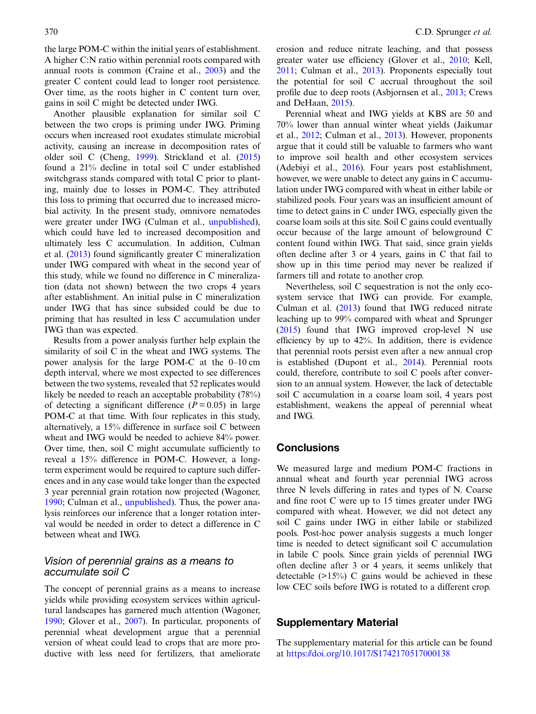the large POM-C within the initial years of establishment. A higher C:N ratio within perennial roots compared with annual roots is common (Craine et al., [2003\)](#page-11-0) and the greater C content could lead to longer root persistence. Over time, as the roots higher in C content turn over, gains in soil C might be detected under IWG.

Another plausible explanation for similar soil C between the two crops is priming under IWG. Priming occurs when increased root exudates stimulate microbial activity, causing an increase in decomposition rates of older soil C (Cheng, [1999\)](#page-11-0). Strickland et al. [\(2015](#page-12-0)) found a 21% decline in total soil C under established switchgrass stands compared with total C prior to planting, mainly due to losses in POM-C. They attributed this loss to priming that occurred due to increased microbial activity. In the present study, omnivore nematodes were greater under IWG (Culman et al., [unpublished](#page-11-0)), which could have led to increased decomposition and ultimately less C accumulation. In addition, Culman et al. [\(2013](#page-11-0)) found significantly greater C mineralization under IWG compared with wheat in the second year of this study, while we found no difference in C mineralization (data not shown) between the two crops 4 years after establishment. An initial pulse in C mineralization under IWG that has since subsided could be due to priming that has resulted in less C accumulation under IWG than was expected.

Results from a power analysis further help explain the similarity of soil C in the wheat and IWG systems. The power analysis for the large POM-C at the 0–10 cm depth interval, where we most expected to see differences between the two systems, revealed that 52 replicates would likely be needed to reach an acceptable probability (78%) of detecting a significant difference  $(P = 0.05)$  in large POM-C at that time. With four replicates in this study, alternatively, a 15% difference in surface soil C between wheat and IWG would be needed to achieve 84% power. Over time, then, soil C might accumulate sufficiently to reveal a 15% difference in POM-C. However, a longterm experiment would be required to capture such differences and in any case would take longer than the expected 3 year perennial grain rotation now projected (Wagoner, [1990](#page-12-0); Culman et al., [unpublished](#page-11-0)). Thus, the power analysis reinforces our inference that a longer rotation interval would be needed in order to detect a difference in C between wheat and IWG.

#### Vision of perennial grains as a means to accumulate soil C

The concept of perennial grains as a means to increase yields while providing ecosystem services within agricultural landscapes has garnered much attention (Wagoner, [1990](#page-12-0); Glover et al., [2007](#page-11-0)). In particular, proponents of perennial wheat development argue that a perennial version of wheat could lead to crops that are more productive with less need for fertilizers, that ameliorate

erosion and reduce nitrate leaching, and that possess greater water use efficiency (Glover et al., [2010](#page-11-0); Kell, [2011](#page-11-0); Culman et al., [2013\)](#page-11-0). Proponents especially tout the potential for soil C accrual throughout the soil profile due to deep roots (Asbjornsen et al., [2013;](#page-11-0) Crews and DeHaan, [2015](#page-11-0)).

Perennial wheat and IWG yields at KBS are 50 and 70% lower than annual winter wheat yields (Jaikumar et al., [2012](#page-11-0); Culman et al., [2013](#page-11-0)). However, proponents argue that it could still be valuable to farmers who want to improve soil health and other ecosystem services (Adebiyi et al., [2016](#page-11-0)). Four years post establishment, however, we were unable to detect any gains in C accumulation under IWG compared with wheat in either labile or stabilized pools. Four years was an insufficient amount of time to detect gains in C under IWG, especially given the coarse loam soils at this site. Soil C gains could eventually occur because of the large amount of belowground C content found within IWG. That said, since grain yields often decline after 3 or 4 years, gains in C that fail to show up in this time period may never be realized if farmers till and rotate to another crop.

Nevertheless, soil C sequestration is not the only ecosystem service that IWG can provide. For example, Culman et al. ([2013](#page-11-0)) found that IWG reduced nitrate leaching up to 99% compared with wheat and Sprunger ([2015\)](#page-12-0) found that IWG improved crop-level N use efficiency by up to 42%. In addition, there is evidence that perennial roots persist even after a new annual crop is established (Dupont et al., [2014](#page-11-0)). Perennial roots could, therefore, contribute to soil C pools after conversion to an annual system. However, the lack of detectable soil C accumulation in a coarse loam soil, 4 years post establishment, weakens the appeal of perennial wheat and IWG.

## **Conclusions**

We measured large and medium POM-C fractions in annual wheat and fourth year perennial IWG across three N levels differing in rates and types of N. Coarse and fine root C were up to 15 times greater under IWG compared with wheat. However, we did not detect any soil C gains under IWG in either labile or stabilized pools. Post-hoc power analysis suggests a much longer time is needed to detect significant soil C accumulation in labile C pools. Since grain yields of perennial IWG often decline after 3 or 4 years, it seems unlikely that detectable  $(>15%)$  C gains would be achieved in these low CEC soils before IWG is rotated to a different crop.

## Supplementary Material

The supplementary material for this article can be found at <https://doi.org/10.1017/S1742170517000138>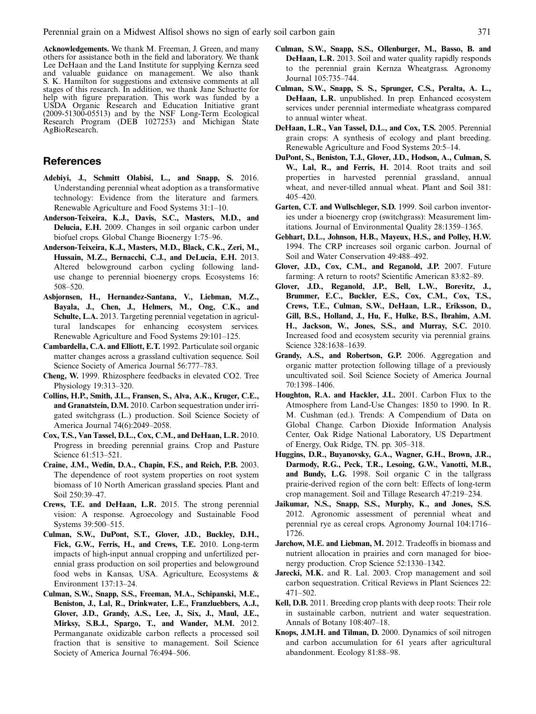<span id="page-11-0"></span>Acknowledgements. We thank M. Freeman, J. Green, and many others for assistance both in the field and laboratory. We thank Lee DeHaan and the Land Institute for supplying Kernza seed and valuable guidance on management. We also thank S. K. Hamilton for suggestions and extensive comments at all stages of this research. In addition, we thank Jane Schuette for help with figure preparation. This work was funded by a USDA Organic Research and Education Initiative grant (2009-51300-05513) and by the NSF Long-Term Ecological Research Program (DEB 1027253) and Michigan State AgBioResearch.

#### **References**

- Adebiyi, J., Schmitt Olabisi, L., and Snapp, S. 2016. Understanding perennial wheat adoption as a transformative technology: Evidence from the literature and farmers. Renewable Agriculture and Food Systems 31:1–10.
- Anderson-Teixeira, K.J., Davis, S.C., Masters, M.D., and Delucia, E.H. 2009. Changes in soil organic carbon under biofuel crops. Global Change Bioenergy 1:75–96.
- Anderson-Teixeira, K.J., Masters, M.D., Black, C.K., Zeri, M., Hussain, M.Z., Bernacchi, C.J., and DeLucia, E.H. 2013. Altered belowground carbon cycling following landuse change to perennial bioenergy crops. Ecosystems 16: 508–520.
- Asbjornsen, H., Hernandez-Santana, V., Liebman, M.Z., Bayala, J., Chen, J., Helmers, M., Ong, C.K., and Schulte, L.A. 2013. Targeting perennial vegetation in agricultural landscapes for enhancing ecosystem services. Renewable Agriculture and Food Systems 29:101–125.
- Cambardella, C.A. and Elliott, E.T. 1992. Particulate soil organic matter changes across a grassland cultivation sequence. Soil Science Society of America Journal 56:777–783.
- Cheng, W. 1999. Rhizosphere feedbacks in elevated CO2. Tree Physiology 19:313–320.
- Collins, H.P., Smith, J.L., Fransen, S., Alva, A.K., Kruger, C.E., and Granatstein, D.M. 2010. Carbon sequestration under irrigated switchgrass (L.) production. Soil Science Society of America Journal 74(6):2049–2058.
- Cox, T.S., Van Tassel, D.L., Cox, C.M., and DeHaan, L.R. 2010. Progress in breeding perennial grains. Crop and Pasture Science 61:513–521.
- Craine, J.M., Wedin, D.A., Chapin, F.S., and Reich, P.B. 2003. The dependence of root system properties on root system biomass of 10 North American grassland species. Plant and Soil 250:39–47.
- Crews, T.E. and DeHaan, L.R. 2015. The strong perennial vision: A response. Agroecology and Sustainable Food Systems 39:500–515.
- Culman, S.W., DuPont, S.T., Glover, J.D., Buckley, D.H., Fick, G.W., Ferris, H., and Crews, T.E. 2010. Long-term impacts of high-input annual cropping and unfertilized perennial grass production on soil properties and belowground food webs in Kansas, USA. Agriculture, Ecosystems & Environment 137:13–24.
- Culman, S.W., Snapp, S.S., Freeman, M.A., Schipanski, M.E., Beniston, J., Lal, R., Drinkwater, L.E., Franzluebbers, A.J., Glover, J.D., Grandy, A.S., Lee, J., Six, J., Maul, J.E., Mirksy, S.B.J., Spargo, T., and Wander, M.M. 2012. Permanganate oxidizable carbon reflects a processed soil fraction that is sensitive to management. Soil Science Society of America Journal 76:494–506.
- Culman, S.W., Snapp, S.S., Ollenburger, M., Basso, B. and DeHaan, L.R. 2013. Soil and water quality rapidly responds to the perennial grain Kernza Wheatgrass. Agronomy Journal 105:735–744.
- Culman, S.W., Snapp, S. S., Sprunger, C.S., Peralta, A. L., DeHaan, L.R. unpublished. In prep. Enhanced ecosystem services under perennial intermediate wheatgrass compared to annual winter wheat.
- DeHaan, L.R., Van Tassel, D.L., and Cox, T.S. 2005. Perennial grain crops: A synthesis of ecology and plant breeding. Renewable Agriculture and Food Systems 20:5–14.
- DuPont, S., Beniston, T.J., Glover, J.D., Hodson, A., Culman, S. W., Lal, R., and Ferris, H. 2014. Root traits and soil properties in harvested perennial grassland, annual wheat, and never-tilled annual wheat. Plant and Soil 381: 405–420.
- Garten, C.T. and Wullschleger, S.D. 1999. Soil carbon inventories under a bioenergy crop (switchgrass): Measurement limitations. Journal of Environmental Quality 28:1359–1365.
- Gebhart, D.L., Johnson, H.B., Mayeux, H.S., and Polley, H.W. 1994. The CRP increases soil organic carbon. Journal of Soil and Water Conservation 49:488–492.
- Glover, J.D., Cox, C.M., and Reganold, J.P. 2007. Future farming: A return to roots? Scientific American 83:82–89.
- Glover, J.D., Reganold, J.P., Bell, L.W., Borevitz, J., Brummer, E.C., Buckler, E.S., Cox, C.M., Cox, T.S., Crews, T.E., Culman, S.W., DeHaan, L.R., Eriksson, D., Gill, B.S., Holland, J., Hu, F., Hulke, B.S., Ibrahim, A.M. H., Jackson, W., Jones, S.S., and Murray, S.C. 2010. Increased food and ecosystem security via perennial grains. Science 328:1638–1639.
- Grandy, A.S., and Robertson, G.P. 2006. Aggregation and organic matter protection following tillage of a previously uncultivated soil. Soil Science Society of America Journal 70:1398–1406.
- Houghton, R.A. and Hackler, J.L. 2001. Carbon Flux to the Atmosphere from Land-Use Changes: 1850 to 1990. In R. M. Cushman (ed.). Trends: A Compendium of Data on Global Change. Carbon Dioxide Information Analysis Center, Oak Ridge National Laboratory, US Department of Energy, Oak Ridge, TN. pp. 305–318.
- Huggins, D.R., Buyanovsky, G.A., Wagner, G.H., Brown, J.R., Darmody, R.G., Peck, T.R., Lesoing, G.W., Vanotti, M.B., and Bundy, L.G. 1998. Soil organic C in the tallgrass prairie-derived region of the corn belt: Effects of long-term crop management. Soil and Tillage Research 47:219–234.
- Jaikumar, N.S., Snapp, S.S., Murphy, K., and Jones, S.S. 2012. Agronomic assessment of perennial wheat and perennial rye as cereal crops. Agronomy Journal 104:1716– 1726.
- Jarchow, M.E. and Liebman, M. 2012. Tradeoffs in biomass and nutrient allocation in prairies and corn managed for bioenergy production. Crop Science 52:1330–1342.
- Jarecki, M.K. and R. Lal. 2003. Crop management and soil carbon sequestration. Critical Reviews in Plant Sciences 22: 471–502.
- Kell, D.B. 2011. Breeding crop plants with deep roots: Their role in sustainable carbon, nutrient and water sequestration. Annals of Botany 108:407–18.
- Knops, J.M.H. and Tilman, D. 2000. Dynamics of soil nitrogen and carbon accumulation for 61 years after agricultural abandonment. Ecology 81:88–98.